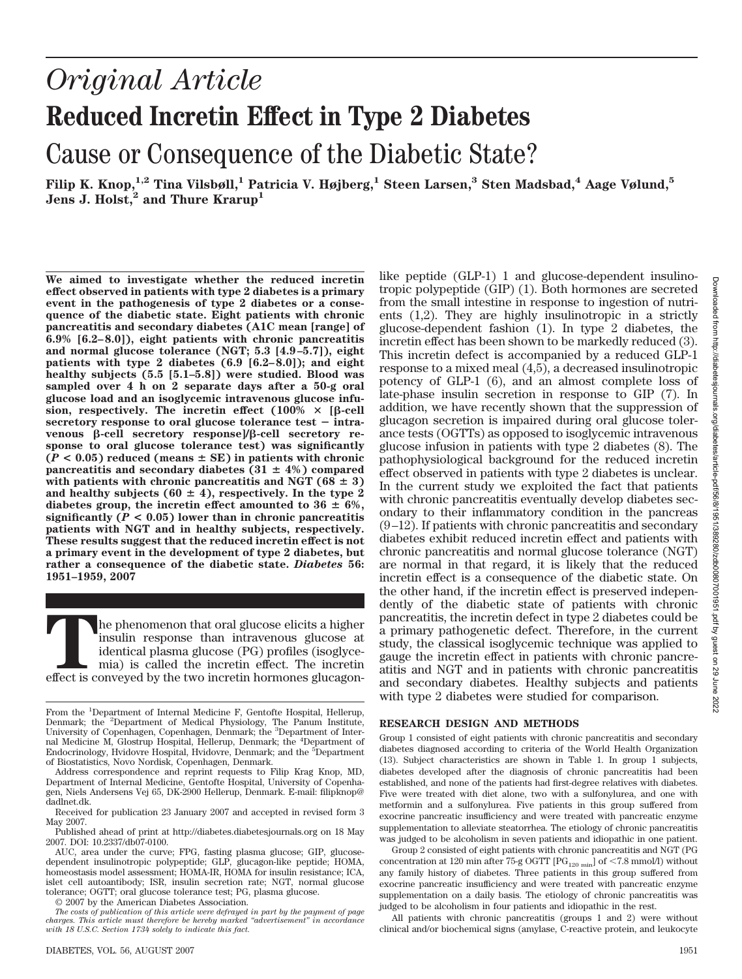# *Original Article* **Reduced Incretin Effect in Type 2 Diabetes** Cause or Consequence of the Diabetic State?

**Filip K. Knop,1,2 Tina Vilsbøll,1 Patricia V. Højberg,1 Steen Larsen,3 Sten Madsbad,4 Aage Vølund,5** Jens J. Holst,<sup>2</sup> and Thure Krarup<sup>1</sup>

**We aimed to investigate whether the reduced incretin effect observed in patients with type 2 diabetes is a primary event in the pathogenesis of type 2 diabetes or a consequence of the diabetic state. Eight patients with chronic pancreatitis and secondary diabetes (A1C mean [range] of 6.9% [6.2–8.0]), eight patients with chronic pancreatitis and normal glucose tolerance (NGT; 5.3 [4.9–5.7]), eight patients with type 2 diabetes (6.9 [6.2–8.0]); and eight healthy subjects (5.5 [5.1–5.8]) were studied. Blood was sampled over 4 h on 2 separate days after a 50-g oral glucose load and an isoglycemic intravenous glucose infu-** $\sin \theta$ , respectively. The incretin effect  $(100\% \times [\beta\text{-cell}])$ secretory response to oral glucose tolerance test - intravenous β-cell secretory response]/β-cell secretory re**sponse to oral glucose tolerance test) was significantly**  $(P < 0.05)$  reduced (means  $\pm$  SE) in patients with chronic **pancreatitis and secondary diabetes (31**  $\pm$  **4%) compared** with patients with chronic pancreatitis and NGT  $(68 \pm 3)$ and healthy subjects ( $60 \pm 4$ ), respectively. In the type 2 diabetes group, the incretin effect amounted to  $36 \pm 6\%$ , **significantly** ( $P < 0.05$ ) lower than in chronic pancreatitis **patients with NGT and in healthy subjects, respectively. These results suggest that the reduced incretin effect is not a primary event in the development of type 2 diabetes, but rather a consequence of the diabetic state.** *Diabetes* **56: 1951–1959, 2007**

The phenomenon that oral glucose elicits a higher insulin response than intravenous glucose at identical plasma glucose (PG) profiles (isoglycemia) is called the incretin effect. The incretin effect is conveyed by the two insulin response than intravenous glucose at identical plasma glucose (PG) profiles (isoglycemia) is called the incretin effect. The incretin

© 2007 by the American Diabetes Association.

glucose-dependent fashion (1). In type 2 diabetes, the incretin effect has been shown to be markedly reduced (3). This incretin defect is accompanied by a reduced GLP-1 response to a mixed meal (4,5), a decreased insulinotropic potency of GLP-1 (6), and an almost complete loss of late-phase insulin secretion in response to GIP (7). In addition, we have recently shown that the suppression of glucagon secretion is impaired during oral glucose tolerance tests (OGTTs) as opposed to isoglycemic intravenous glucose infusion in patients with type 2 diabetes (8). The pathophysiological background for the reduced incretin effect observed in patients with type 2 diabetes is unclear. In the current study we exploited the fact that patients with chronic pancreatitis eventually develop diabetes secondary to their inflammatory condition in the pancreas  $(9-12)$ . If patients with chronic pancreatitis and secondary diabetes exhibit reduced incretin effect and patients with chronic pancreatitis and normal glucose tolerance (NGT) are normal in that regard, it is likely that the reduced incretin effect is a consequence of the diabetic state. On the other hand, if the incretin effect is preserved independently of the diabetic state of patients with chronic pancreatitis, the incretin defect in type 2 diabetes could be a primary pathogenetic defect. Therefore, in the current study, the classical isoglycemic technique was applied to gauge the incretin effect in patients with chronic pancreatitis and NGT and in patients with chronic pancreatitis and secondary diabetes. Healthy subjects and patients with type 2 diabetes were studied for comparison. **RESEARCH DESIGN AND METHODS**

like peptide (GLP-1) 1 and glucose-dependent insulinotropic polypeptide (GIP) (1). Both hormones are secreted from the small intestine in response to ingestion of nutrients (1,2). They are highly insulinotropic in a strictly

Group 1 consisted of eight patients with chronic pancreatitis and secondary diabetes diagnosed according to criteria of the World Health Organization (13). Subject characteristics are shown in Table 1. In group 1 subjects, diabetes developed after the diagnosis of chronic pancreatitis had been established, and none of the patients had first-degree relatives with diabetes. Five were treated with diet alone, two with a sulfonylurea, and one with metformin and a sulfonylurea. Five patients in this group suffered from exocrine pancreatic insufficiency and were treated with pancreatic enzyme supplementation to alleviate steatorrhea. The etiology of chronic pancreatitis was judged to be alcoholism in seven patients and idiopathic in one patient.

Group 2 consisted of eight patients with chronic pancreatitis and NGT (PG concentration at 120 min after 75-g OGTT  $[PG_{120 \text{ min}}]$  of <7.8 mmol/l) without any family history of diabetes. Three patients in this group suffered from exocrine pancreatic insufficiency and were treated with pancreatic enzyme supplementation on a daily basis. The etiology of chronic pancreatitis was judged to be alcoholism in four patients and idiopathic in the rest.

All patients with chronic pancreatitis (groups 1 and 2) were without clinical and/or biochemical signs (amylase, C-reactive protein, and leukocyte

From the <sup>1</sup>Department of Internal Medicine F, Gentofte Hospital, Hellerup, Denmark; the <sup>2</sup>Department of Medical Physiology, The Panum Institute, University of Copenhagen, Copenhagen, Denmark; the <sup>3</sup>Department of Internal Medicine M, Glostrup Hospital, Hellerup, Denmark; the <sup>4</sup> Department of Endocrinology, Hvidovre Hospital, Hvidovre, Denmark; and the <sup>5</sup>Department of Biostatistics, Novo Nordisk, Copenhagen, Denmark.

Address correspondence and reprint requests to Filip Krag Knop, MD, Department of Internal Medicine, Gentofte Hospital, University of Copenhagen, Niels Andersens Vej 65, DK-2900 Hellerup, Denmark. E-mail: filipknop@ dadlnet.dk.

Received for publication 23 January 2007 and accepted in revised form 3 May 2007.

Published ahead of print at http://diabetes.diabetesjournals.org on 18 May 2007. DOI: 10.2337/db07-0100.

AUC, area under the curve; FPG, fasting plasma glucose; GIP, glucosedependent insulinotropic polypeptide; GLP, glucagon-like peptide; HOMA, homeostasis model assessment; HOMA-IR, HOMA for insulin resistance; ICA, islet cell autoantibody; ISR, insulin secretion rate; NGT, normal glucose tolerance; OGTT; oral glucose tolerance test; PG, plasma glucose.

*The costs of publication of this article were defrayed in part by the payment of page charges. This article must therefore be hereby marked "advertisement" in accordance with 18 U.S.C. Section 1734 solely to indicate this fact.*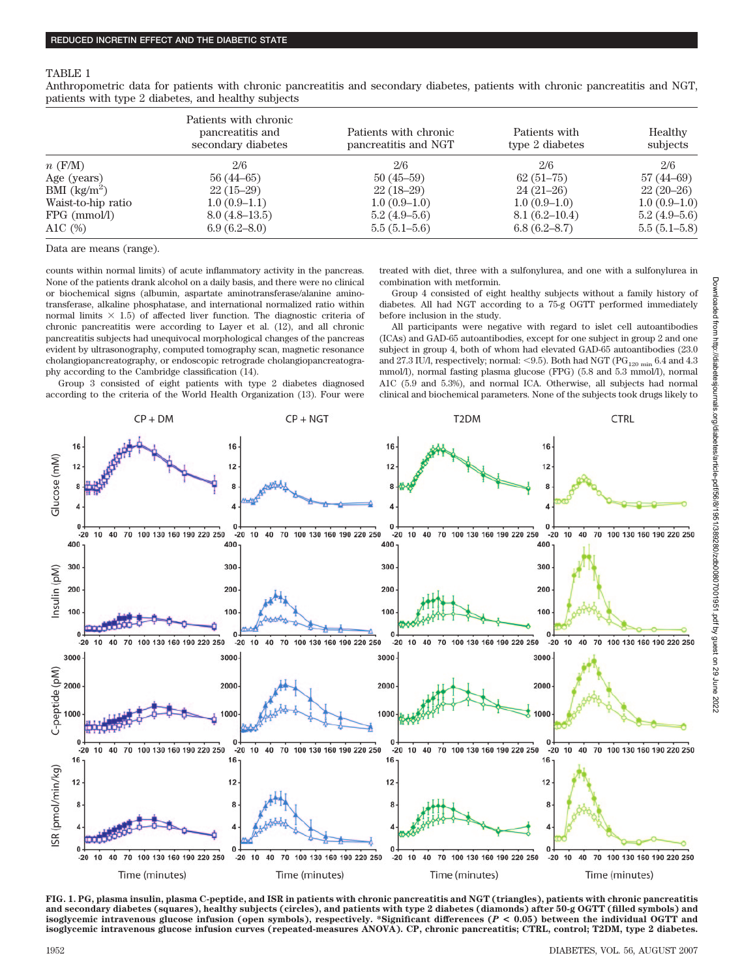#### TABLE 1

Anthropometric data for patients with chronic pancreatitis and secondary diabetes, patients with chronic pancreatitis and NGT, patients with type 2 diabetes, and healthy subjects

|                    | Patients with chronic<br>pancreatitis and<br>secondary diabetes | Patients with chronic<br>pancreatitis and NGT | Patients with<br>type 2 diabetes | Healthy<br>subjects |
|--------------------|-----------------------------------------------------------------|-----------------------------------------------|----------------------------------|---------------------|
| $n$ (F/M)          | 2/6                                                             | 2/6                                           | 2/6                              | 2/6                 |
| Age (years)        | $56(44-65)$                                                     | $50(45-59)$                                   | $62(51-75)$                      | $57(44-69)$         |
| BMI $(kg/m^2)$     | $22(15-29)$                                                     | $22(18-29)$                                   | $24(21-26)$                      | $22(20-26)$         |
| Waist-to-hip ratio | $1.0(0.9-1.1)$                                                  | $1.0(0.9-1.0)$                                | $1.0(0.9-1.0)$                   | $1.0(0.9-1.0)$      |
| $FPG$ (mmol/l)     | $8.0(4.8-13.5)$                                                 | $5.2(4.9-5.6)$                                | 8.1(6.2–10.4)                    | $5.2(4.9-5.6)$      |
| A1C $(\%)$         | 6.9(6.2–8.0)                                                    | $5.5(5.1-5.6)$                                | 6.8(6.2–8.7)                     | 5.5(5.1–5.8)        |

Data are means (range).

counts within normal limits) of acute inflammatory activity in the pancreas. None of the patients drank alcohol on a daily basis, and there were no clinical or biochemical signs (albumin, aspartate aminotransferase/alanine aminotransferase, alkaline phosphatase, and international normalized ratio within normal limits  $\times$  1.5) of affected liver function. The diagnostic criteria of chronic pancreatitis were according to Layer et al. (12), and all chronic pancreatitis subjects had unequivocal morphological changes of the pancreas evident by ultrasonography, computed tomography scan, magnetic resonance cholangiopancreatography, or endoscopic retrograde cholangiopancreatography according to the Cambridge classification (14).

Group 3 consisted of eight patients with type 2 diabetes diagnosed according to the criteria of the World Health Organization (13). Four were treated with diet, three with a sulfonylurea, and one with a sulfonylurea in combination with metformin.

Group 4 consisted of eight healthy subjects without a family history of diabetes. All had NGT according to a 75-g OGTT performed immediately before inclusion in the study.

All participants were negative with regard to islet cell autoantibodies (ICAs) and GAD-65 autoantibodies, except for one subject in group 2 and one subject in group 4, both of whom had elevated GAD-65 autoantibodies (23.0 and 27.3 IU/l, respectively; normal: <9.5). Both had NGT ( $PG<sub>120 min</sub> 6.4$  and 4.3 mmol/l), normal fasting plasma glucose (FPG) (5.8 and 5.3 mmol/l), normal A1C (5.9 and 5.3%), and normal ICA. Otherwise, all subjects had normal clinical and biochemical parameters. None of the subjects took drugs likely to



**FIG. 1. PG, plasma insulin, plasma C-peptide, and ISR in patients with chronic pancreatitis and NGT (triangles), patients with chronic pancreatitis** and secondary diabetes (squares), healthy subjects (circles), and patients with type 2 diabetes (diamonds) after 50-g OGTT (filled symbols) and<br>isoglycemic intravenous glucose infusion (open symbols), respectively. \*Signif **isoglycemic intravenous glucose infusion curves (repeated-measures ANOVA). CP, chronic pancreatitis; CTRL, control; T2DM, type 2 diabetes.**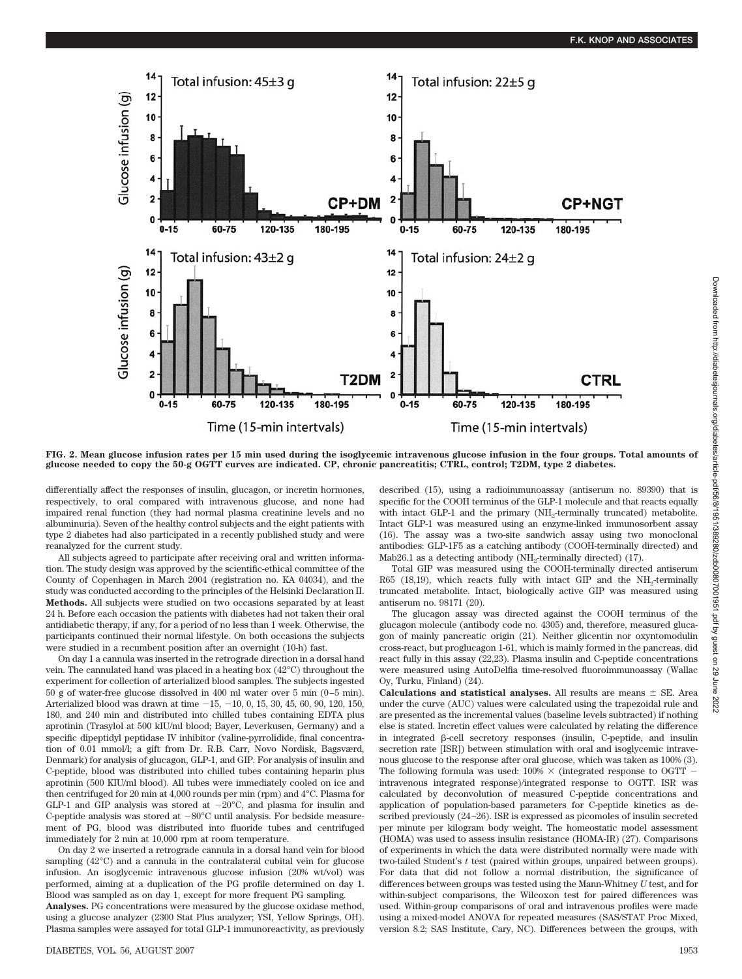

**FIG. 2. Mean glucose infusion rates per 15 min used during the isoglycemic intravenous glucose infusion in the four groups. Total amounts of glucose needed to copy the 50-g OGTT curves are indicated. CP, chronic pancreatitis; CTRL, control; T2DM, type 2 diabetes.**

differentially affect the responses of insulin, glucagon, or incretin hormones, respectively, to oral compared with intravenous glucose, and none had impaired renal function (they had normal plasma creatinine levels and no albuminuria). Seven of the healthy control subjects and the eight patients with type 2 diabetes had also participated in a recently published study and were reanalyzed for the current study.

All subjects agreed to participate after receiving oral and written information. The study design was approved by the scientific-ethical committee of the County of Copenhagen in March 2004 (registration no. KA 04034), and the study was conducted according to the principles of the Helsinki Declaration II. **Methods.** All subjects were studied on two occasions separated by at least 24 h. Before each occasion the patients with diabetes had not taken their oral antidiabetic therapy, if any, for a period of no less than 1 week. Otherwise, the participants continued their normal lifestyle. On both occasions the subjects were studied in a recumbent position after an overnight (10-h) fast.

On day 1 a cannula was inserted in the retrograde direction in a dorsal hand vein. The cannulated hand was placed in a heating box (42°C) throughout the experiment for collection of arterialized blood samples. The subjects ingested 50 g of water-free glucose dissolved in 400 ml water over 5 min (0 –5 min). Arterialized blood was drawn at time  $-15, -10, 0, 15, 30, 45, 60, 90, 120, 150,$ 180, and 240 min and distributed into chilled tubes containing EDTA plus aprotinin (Trasylol at 500 kIU/ml blood; Bayer, Leverkusen, Germany) and a specific dipeptidyl peptidase IV inhibitor (valine-pyrrolidide, final concentration of 0.01 mmol/l; a gift from Dr. R.B. Carr, Novo Nordisk, Bagsværd, Denmark) for analysis of glucagon, GLP-1, and GIP. For analysis of insulin and C-peptide, blood was distributed into chilled tubes containing heparin plus aprotinin (500 KIU/ml blood). All tubes were immediately cooled on ice and then centrifuged for 20 min at 4,000 rounds per min (rpm) and 4°C. Plasma for GLP-1 and GIP analysis was stored at  $-20^{\circ}$ C, and plasma for insulin and C-peptide analysis was stored at  $-80^{\circ}$ C until analysis. For bedside measurement of PG, blood was distributed into fluoride tubes and centrifuged immediately for 2 min at 10,000 rpm at room temperature.

On day 2 we inserted a retrograde cannula in a dorsal hand vein for blood sampling (42°C) and a cannula in the contralateral cubital vein for glucose infusion. An isoglycemic intravenous glucose infusion (20% wt/vol) was performed, aiming at a duplication of the PG profile determined on day 1. Blood was sampled as on day 1, except for more frequent PG sampling.

**Analyses.** PG concentrations were measured by the glucose oxidase method, using a glucose analyzer (2300 Stat Plus analyzer; YSI, Yellow Springs, OH). Plasma samples were assayed for total GLP-1 immunoreactivity, as previously

DIABETES, VOL. 56, AUGUST 2007 1953

described (15), using a radioimmunoassay (antiserum no. 89390) that is specific for the COOH terminus of the GLP-1 molecule and that reacts equally with intact GLP-1 and the primary (NH<sub>2</sub>-terminally truncated) metabolite. Intact GLP-1 was measured using an enzyme-linked immunosorbent assay (16). The assay was a two-site sandwich assay using two monoclonal antibodies: GLP-1F5 as a catching antibody (COOH-terminally directed) and Mab26.1 as a detecting antibody (NH<sub>2</sub>-terminally directed) (17).

Total GIP was measured using the COOH-terminally directed antiserum R65 (18,19), which reacts fully with intact GIP and the  $NH<sub>2</sub>$ -terminally truncated metabolite. Intact, biologically active GIP was measured using antiserum no. 98171 (20).

The glucagon assay was directed against the COOH terminus of the glucagon molecule (antibody code no. 4305) and, therefore, measured glucagon of mainly pancreatic origin (21). Neither glicentin nor oxyntomodulin cross-react, but proglucagon 1-61, which is mainly formed in the pancreas, did react fully in this assay (22,23). Plasma insulin and C-peptide concentrations were measured using AutoDelfia time-resolved fluoroimmunoassay (Wallac Oy, Turku, Finland) (24).

**Calculations and statistical analyses.** All results are means  $\pm$  SE. Area under the curve (AUC) values were calculated using the trapezoidal rule and are presented as the incremental values (baseline levels subtracted) if nothing else is stated. Incretin effect values were calculated by relating the difference in integrated  $\beta$ -cell secretory responses (insulin, C-peptide, and insulin secretion rate [ISR]) between stimulation with oral and isoglycemic intravenous glucose to the response after oral glucose, which was taken as 100% (3). The following formula was used:  $100\% \times$  (integrated response to OGTT – intravenous integrated response)/integrated response to OGTT. ISR was calculated by deconvolution of measured C-peptide concentrations and application of population-based parameters for C-peptide kinetics as described previously (24 –26). ISR is expressed as picomoles of insulin secreted per minute per kilogram body weight. The homeostatic model assessment (HOMA) was used to assess insulin resistance (HOMA-IR) (27). Comparisons of experiments in which the data were distributed normally were made with two-tailed Student's *t* test (paired within groups, unpaired between groups). For data that did not follow a normal distribution, the significance of differences between groups was tested using the Mann-Whitney *U* test, and for within-subject comparisons, the Wilcoxon test for paired differences was used. Within-group comparisons of oral and intravenous profiles were made using a mixed-model ANOVA for repeated measures (SAS/STAT Proc Mixed, version 8.2; SAS Institute, Cary, NC). Differences between the groups, with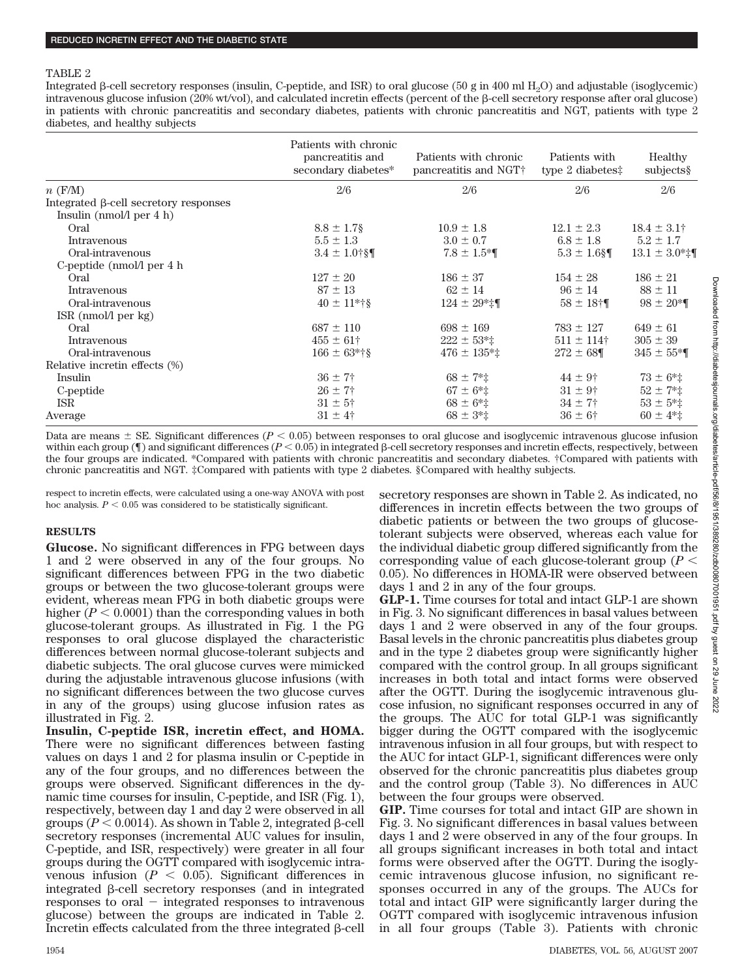## TABLE 2

Integrated  $\beta$ -cell secretory responses (insulin, C-peptide, and ISR) to oral glucose (50 g in 400 ml H<sub>2</sub>O) and adjustable (isoglycemic) intravenous glucose infusion  $(20\% \text{ wt/vol})$ , and calculated incretin effects (percent of the  $\beta$ -cell secretory response after oral glucose) in patients with chronic pancreatitis and secondary diabetes, patients with chronic pancreatitis and NGT, patients with type 2 diabetes, and healthy subjects

|                                       | Patients with chronic<br>pancreatitis and<br>secondary diabetes* | Patients with chronic<br>pancreatitis and NGT+ | Patients with<br>type $2$ diabetes:         | Healthy<br>subjects      |
|---------------------------------------|------------------------------------------------------------------|------------------------------------------------|---------------------------------------------|--------------------------|
| $n$ (F/M)                             | 2/6                                                              | 2/6                                            | 2/6                                         | 2/6                      |
| Integrated β-cell secretory responses |                                                                  |                                                |                                             |                          |
| Insulin ( $nmol/l$ per 4 h)           |                                                                  |                                                |                                             |                          |
| Oral                                  | $8.8 \pm 1.7$ §                                                  | $10.9 \pm 1.8$                                 | $12.1 \pm 2.3$                              | $18.4 \pm 3.1^{\dagger}$ |
| Intravenous                           | $5.5 \pm 1.3$                                                    | $3.0 \pm 0.7$                                  | $6.8 \pm 1.8$                               | $5.2 \pm 1.7$            |
| Oral-intravenous                      | $3.4 \pm 1.0$ †§¶                                                | $7.8 \pm 1.5$ *                                | $5.3 \pm 1.6$ §¶                            | $13.1 \pm 3.0$ *‡¶       |
| C-peptide (nmol/l per 4 h)            |                                                                  |                                                |                                             |                          |
| Oral                                  | $127 \pm 20$                                                     | $186 \pm 37$                                   | $154 \pm 28$                                | $186 \pm 21$             |
| Intravenous                           | $87 \pm 13$                                                      | $62 \pm 14$                                    | $96 \pm 14$                                 | $88 \pm 11$              |
| Oral-intravenous                      | $40 \pm 11$ *†§                                                  | $124 \pm 29$ *‡¶                               | $58 \pm 18$ <sup><math>\dagger</math></sup> | $98 \pm 20$ *            |
| $ISR \ (nmol/l \ per \ kg)$           |                                                                  |                                                |                                             |                          |
| Oral                                  | $687 \pm 110$                                                    | $698 \pm 169$                                  | $783 \pm 127$                               | $649 \pm 61$             |
| Intravenous                           | $455 \pm 61^{\circ}$                                             | $222 \pm 53$ *‡                                | $511 \pm 114$ †                             | $305 \pm 39$             |
| Oral-intravenous                      | $166 \pm 63$ *†§                                                 | $476 \pm 135$ *‡                               | $272 \pm 68$                                | $345 \pm 55*$            |
| Relative incretin effects (%)         |                                                                  |                                                |                                             |                          |
| Insulin                               | $36 \pm 7^{\circ}$                                               | $68 \pm 7$ <sup>*</sup> $\ddagger$             | $44 \pm 9^{\circ}$                          | $73 \pm 6$ *‡            |
| C-peptide                             | $26 \pm 7$ †                                                     | $67 \pm 6$ *‡                                  | $31 \pm 9^{\circ}$                          | $52 \pm 7$ * $\pm$       |
| <b>ISR</b>                            | $31 \pm 5^{\circ}$                                               | $68 \pm 6*$                                    | $34 \pm 7$                                  | $53 \pm 5$ *‡            |
| Average                               | $31 \pm 4^{\dagger}$                                             | $68 \pm 3*$                                    | $36 \pm 6^{\circ}$                          | $60 \pm 4$ *‡            |

Data are means  $\pm$  SE. Significant differences ( $P < 0.05$ ) between responses to oral glucose and isoglycemic intravenous glucose infusion within each group ( $\parallel$ ) and significant differences ( $P < 0.05$ ) in integrated  $\beta$ -cell secretory responses and incretin effects, respectively, between the four groups are indicated. \*Compared with patients with chronic pancreatitis and secondary diabetes. †Compared with patients with chronic pancreatitis and NGT. ‡Compared with patients with type 2 diabetes. §Compared with healthy subjects.

respect to incretin effects, were calculated using a one-way ANOVA with post hoc analysis.  $P < 0.05$  was considered to be statistically significant.

# **RESULTS**

**Glucose.** No significant differences in FPG between days 1 and 2 were observed in any of the four groups. No significant differences between FPG in the two diabetic groups or between the two glucose-tolerant groups were evident, whereas mean FPG in both diabetic groups were higher  $(P < 0.0001)$  than the corresponding values in both glucose-tolerant groups. As illustrated in Fig. 1 the PG responses to oral glucose displayed the characteristic differences between normal glucose-tolerant subjects and diabetic subjects. The oral glucose curves were mimicked during the adjustable intravenous glucose infusions (with no significant differences between the two glucose curves in any of the groups) using glucose infusion rates as illustrated in Fig. 2.

**Insulin, C-peptide ISR, incretin effect, and HOMA.** There were no significant differences between fasting values on days 1 and 2 for plasma insulin or C-peptide in any of the four groups, and no differences between the groups were observed. Significant differences in the dynamic time courses for insulin, C-peptide, and ISR (Fig. 1), respectively, between day 1 and day 2 were observed in all groups  $(P < 0.0014)$ . As shown in Table 2, integrated  $\beta$ -cell secretory responses (incremental AUC values for insulin, C-peptide, and ISR, respectively) were greater in all four groups during the OGTT compared with isoglycemic intravenous infusion  $(P < 0.05)$ . Significant differences in integrated  $\beta$ -cell secretory responses (and in integrated responses to oral  $-$  integrated responses to intravenous glucose) between the groups are indicated in Table 2. Incretin effects calculated from the three integrated  $\beta$ -cell secretory responses are shown in Table 2. As indicated, no differences in incretin effects between the two groups of diabetic patients or between the two groups of glucosetolerant subjects were observed, whereas each value for the individual diabetic group differed significantly from the corresponding value of each glucose-tolerant group (*P* 0.05). No differences in HOMA-IR were observed between days 1 and 2 in any of the four groups.

**GLP-1.** Time courses for total and intact GLP-1 are shown in Fig. 3. No significant differences in basal values between days 1 and 2 were observed in any of the four groups. Basal levels in the chronic pancreatitis plus diabetes group and in the type 2 diabetes group were significantly higher compared with the control group. In all groups significant increases in both total and intact forms were observed after the OGTT. During the isoglycemic intravenous glucose infusion, no significant responses occurred in any of the groups. The AUC for total GLP-1 was significantly bigger during the OGTT compared with the isoglycemic intravenous infusion in all four groups, but with respect to the AUC for intact GLP-1, significant differences were only observed for the chronic pancreatitis plus diabetes group and the control group (Table 3). No differences in AUC between the four groups were observed.

**GIP.** Time courses for total and intact GIP are shown in Fig. 3. No significant differences in basal values between days 1 and 2 were observed in any of the four groups. In all groups significant increases in both total and intact forms were observed after the OGTT. During the isoglycemic intravenous glucose infusion, no significant responses occurred in any of the groups. The AUCs for total and intact GIP were significantly larger during the OGTT compared with isoglycemic intravenous infusion in all four groups (Table 3). Patients with chronic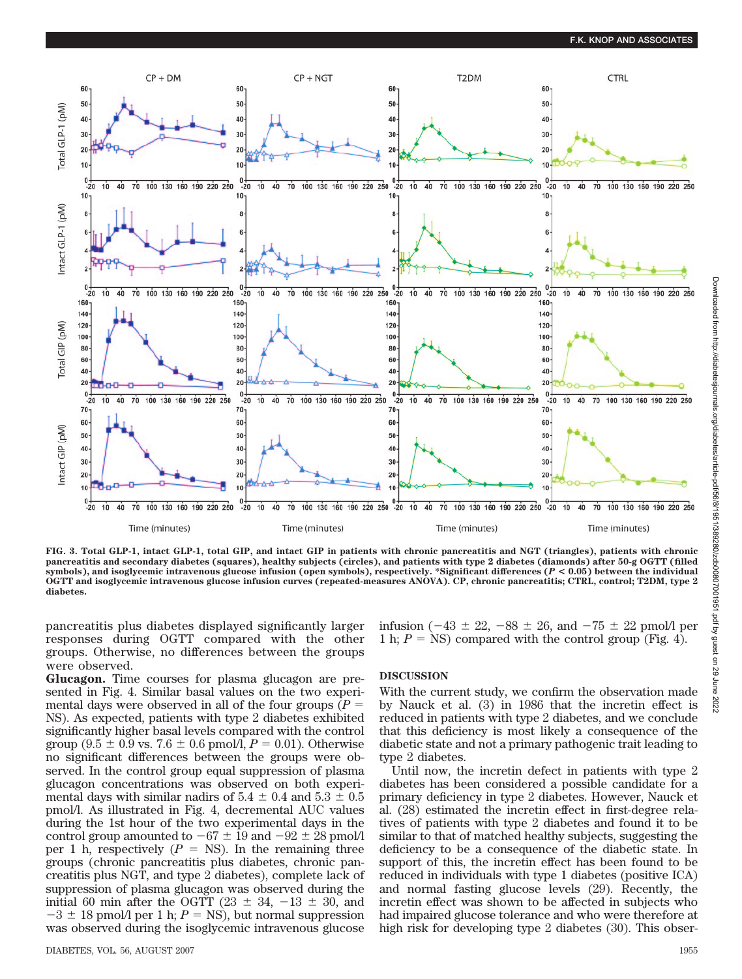

**FIG. 3. Total GLP-1, intact GLP-1, total GIP, and intact GIP in patients with chronic pancreatitis and NGT (triangles), patients with chronic pancreatitis and secondary diabetes (squares), healthy subjects (circles), and patients with type 2 diabetes (diamonds) after 50-g OGTT (filled symbols), and isoglycemic intravenous glucose infusion (open symbols), respectively. \*Significant differences (***P* **< 0.05) between the individual OGTT and isoglycemic intravenous glucose infusion curves (repeated-measures ANOVA). CP, chronic pancreatitis; CTRL, control; T2DM, type 2 diabetes.**

pancreatitis plus diabetes displayed significantly larger responses during OGTT compared with the other groups. Otherwise, no differences between the groups were observed.

**Glucagon.** Time courses for plasma glucagon are presented in Fig. 4. Similar basal values on the two experimental days were observed in all of the four groups  $(P =$ NS). As expected, patients with type 2 diabetes exhibited significantly higher basal levels compared with the control group  $(9.5 \pm 0.9 \text{ vs. } 7.6 \pm 0.6 \text{ pmol/l}, P = 0.01)$ . Otherwise no significant differences between the groups were observed. In the control group equal suppression of plasma glucagon concentrations was observed on both experimental days with similar nadirs of  $5.4 \pm 0.4$  and  $5.3 \pm 0.5$ pmol/l. As illustrated in Fig. 4, decremental AUC values during the 1st hour of the two experimental days in the control group amounted to  $-67 \pm 19$  and  $-92 \pm 28$  pmol/l per 1 h, respectively  $(P = NS)$ . In the remaining three groups (chronic pancreatitis plus diabetes, chronic pancreatitis plus NGT, and type 2 diabetes), complete lack of suppression of plasma glucagon was observed during the initial 60 min after the OGTT (23  $\pm$  34, -13  $\pm$  30, and  $-3 \pm 18$  pmol/l per 1 h;  $P = NS$ ), but normal suppression was observed during the isoglycemic intravenous glucose

infusion ( $-43 \pm 22$ ,  $-88 \pm 26$ , and  $-75 \pm 22$  pmol/l per 1 h;  $P = NS$ ) compared with the control group (Fig. 4).

# **DISCUSSION**

With the current study, we confirm the observation made by Nauck et al. (3) in 1986 that the incretin effect is reduced in patients with type 2 diabetes, and we conclude that this deficiency is most likely a consequence of the diabetic state and not a primary pathogenic trait leading to type 2 diabetes.

Until now, the incretin defect in patients with type 2 diabetes has been considered a possible candidate for a primary deficiency in type 2 diabetes. However, Nauck et al. (28) estimated the incretin effect in first-degree relatives of patients with type 2 diabetes and found it to be similar to that of matched healthy subjects, suggesting the deficiency to be a consequence of the diabetic state. In support of this, the incretin effect has been found to be reduced in individuals with type 1 diabetes (positive ICA) and normal fasting glucose levels (29). Recently, the incretin effect was shown to be affected in subjects who had impaired glucose tolerance and who were therefore at high risk for developing type 2 diabetes (30). This obser-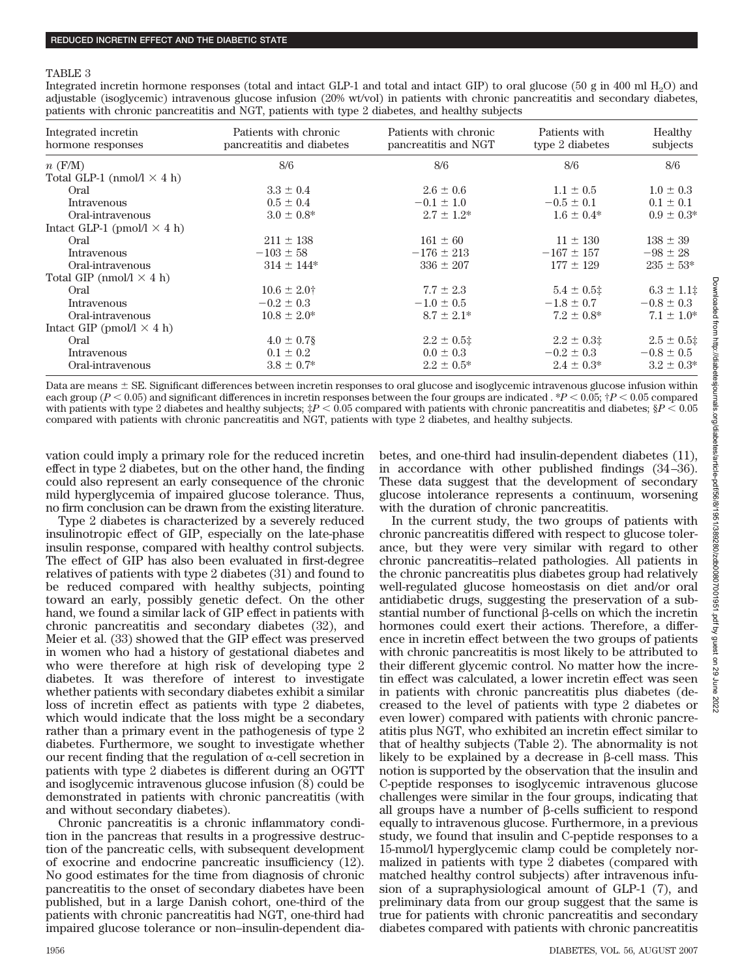#### TABLE 3

Integrated incretin hormone responses (total and intact GLP-1 and total and intact GIP) to oral glucose (50 g in 400 ml H<sub>2</sub>O) and adjustable (isoglycemic) intravenous glucose infusion (20% wt/vol) in patients with chronic pancreatitis and secondary diabetes, patients with chronic pancreatitis and NGT, patients with type 2 diabetes, and healthy subjects

| Integrated incretin<br>hormone responses | Patients with chronic<br>pancreatitis and diabetes | Patients with chronic<br>pancreatitis and NGT | Patients with<br>type 2 diabetes | Healthy<br>subjects |
|------------------------------------------|----------------------------------------------------|-----------------------------------------------|----------------------------------|---------------------|
| $n$ (F/M)                                | 8/6                                                | 8/6                                           | 8/6                              | 8/6                 |
| Total GLP-1 (nmol/l $\times$ 4 h)        |                                                    |                                               |                                  |                     |
| Oral                                     | $3.3 \pm 0.4$                                      | $2.6 \pm 0.6$                                 | $1.1 \pm 0.5$                    | $1.0 \pm 0.3$       |
| Intravenous                              | $0.5 \pm 0.4$                                      | $-0.1 \pm 1.0$                                | $-0.5 \pm 0.1$                   | $0.1 \pm 0.1$       |
| Oral-intravenous                         | $3.0 \pm 0.8^*$                                    | $2.7 \pm 1.2^*$                               | $1.6 \pm 0.4*$                   | $0.9 \pm 0.3^*$     |
| Intact GLP-1 (pmol/l $\times$ 4 h)       |                                                    |                                               |                                  |                     |
| Oral                                     | $211 \pm 138$                                      | $161 \pm 60$                                  | $11 \pm 130$                     | $138 \pm 39$        |
| Intravenous                              | $-103 \pm 58$                                      | $-176 \pm 213$                                | $-167 \pm 157$                   | $-98 \pm 28$        |
| Oral-intravenous                         | $314 \pm 144$ *                                    | $336 \pm 207$                                 | $177 \pm 129$                    | $235 \pm 53*$       |
| Total GIP (nmol/l $\times$ 4 h)          |                                                    |                                               |                                  |                     |
| Oral                                     | $10.6 \pm 2.0^+$                                   | $7.7 \pm 2.3$                                 | $5.4 \pm 0.5$ ‡                  | $6.3 \pm 1.1$       |
| Intravenous                              | $-0.2 \pm 0.3$                                     | $-1.0 \pm 0.5$                                | $-1.8 \pm 0.7$                   | $-0.8 \pm 0.3$      |
| Oral-intravenous                         | $10.8 \pm 2.0^*$                                   | $8.7 \pm 2.1*$                                | $7.2 \pm 0.8^*$                  | $7.1 \pm 1.0^*$     |
| Intact GIP (pmol/l $\times$ 4 h)         |                                                    |                                               |                                  |                     |
| Oral                                     | $4.0 \pm 0.7$ §                                    | $2.2 \pm 0.5$ ‡                               | $2.2 \pm 0.3$ ‡                  | $2.5 \pm 0.5$       |
| Intravenous                              | $0.1 \pm 0.2$                                      | $0.0 \pm 0.3$                                 | $-0.2 \pm 0.3$                   | $-0.8 \pm 0.5$      |
| Oral-intravenous                         | $3.8 \pm 0.7*$                                     | $2.2 \pm 0.5^*$                               | $2.4 \pm 0.3^*$                  | $3.2 \pm 0.3^*$     |

Data are means  $\pm$  SE. Significant differences between incretin responses to oral glucose and isoglycemic intravenous glucose infusion within each group  $(P < 0.05)$  and significant differences in incretin responses between the four groups are indicated . \**P*  $< 0.05$ ;  $\frac{dP}{dQ} < 0.05$  compared with patients with type 2 diabetes and healthy subjects;  $\sharp P < 0.05$  compared with patients with chronic pancreatitis and diabetes;  $\S P < 0.05$ compared with patients with chronic pancreatitis and NGT, patients with type 2 diabetes, and healthy subjects.

vation could imply a primary role for the reduced incretin effect in type 2 diabetes, but on the other hand, the finding could also represent an early consequence of the chronic mild hyperglycemia of impaired glucose tolerance. Thus, no firm conclusion can be drawn from the existing literature.

Type 2 diabetes is characterized by a severely reduced insulinotropic effect of GIP, especially on the late-phase insulin response, compared with healthy control subjects. The effect of GIP has also been evaluated in first-degree relatives of patients with type 2 diabetes (31) and found to be reduced compared with healthy subjects, pointing toward an early, possibly genetic defect. On the other hand, we found a similar lack of GIP effect in patients with chronic pancreatitis and secondary diabetes (32), and Meier et al. (33) showed that the GIP effect was preserved in women who had a history of gestational diabetes and who were therefore at high risk of developing type 2 diabetes. It was therefore of interest to investigate whether patients with secondary diabetes exhibit a similar loss of incretin effect as patients with type 2 diabetes, which would indicate that the loss might be a secondary rather than a primary event in the pathogenesis of type 2 diabetes. Furthermore, we sought to investigate whether our recent finding that the regulation of  $\alpha$ -cell secretion in patients with type 2 diabetes is different during an OGTT and isoglycemic intravenous glucose infusion (8) could be demonstrated in patients with chronic pancreatitis (with and without secondary diabetes).

Chronic pancreatitis is a chronic inflammatory condition in the pancreas that results in a progressive destruction of the pancreatic cells, with subsequent development of exocrine and endocrine pancreatic insufficiency (12). No good estimates for the time from diagnosis of chronic pancreatitis to the onset of secondary diabetes have been published, but in a large Danish cohort, one-third of the patients with chronic pancreatitis had NGT, one-third had impaired glucose tolerance or non–insulin-dependent diabetes, and one-third had insulin-dependent diabetes (11), in accordance with other published findings (34 –36). These data suggest that the development of secondary glucose intolerance represents a continuum, worsening with the duration of chronic pancreatitis.

In the current study, the two groups of patients with chronic pancreatitis differed with respect to glucose tolerance, but they were very similar with regard to other chronic pancreatitis–related pathologies. All patients in the chronic pancreatitis plus diabetes group had relatively well-regulated glucose homeostasis on diet and/or oral antidiabetic drugs, suggesting the preservation of a substantial number of functional  $\beta$ -cells on which the incretin hormones could exert their actions. Therefore, a difference in incretin effect between the two groups of patients with chronic pancreatitis is most likely to be attributed to their different glycemic control. No matter how the incretin effect was calculated, a lower incretin effect was seen in patients with chronic pancreatitis plus diabetes (decreased to the level of patients with type 2 diabetes or even lower) compared with patients with chronic pancreatitis plus NGT, who exhibited an incretin effect similar to that of healthy subjects (Table 2). The abnormality is not likely to be explained by a decrease in  $\beta$ -cell mass. This notion is supported by the observation that the insulin and C-peptide responses to isoglycemic intravenous glucose challenges were similar in the four groups, indicating that all groups have a number of  $\beta$ -cells sufficient to respond equally to intravenous glucose. Furthermore, in a previous study, we found that insulin and C-peptide responses to a 15-mmol/l hyperglycemic clamp could be completely normalized in patients with type 2 diabetes (compared with matched healthy control subjects) after intravenous infusion of a supraphysiological amount of GLP-1 (7), and preliminary data from our group suggest that the same is true for patients with chronic pancreatitis and secondary diabetes compared with patients with chronic pancreatitis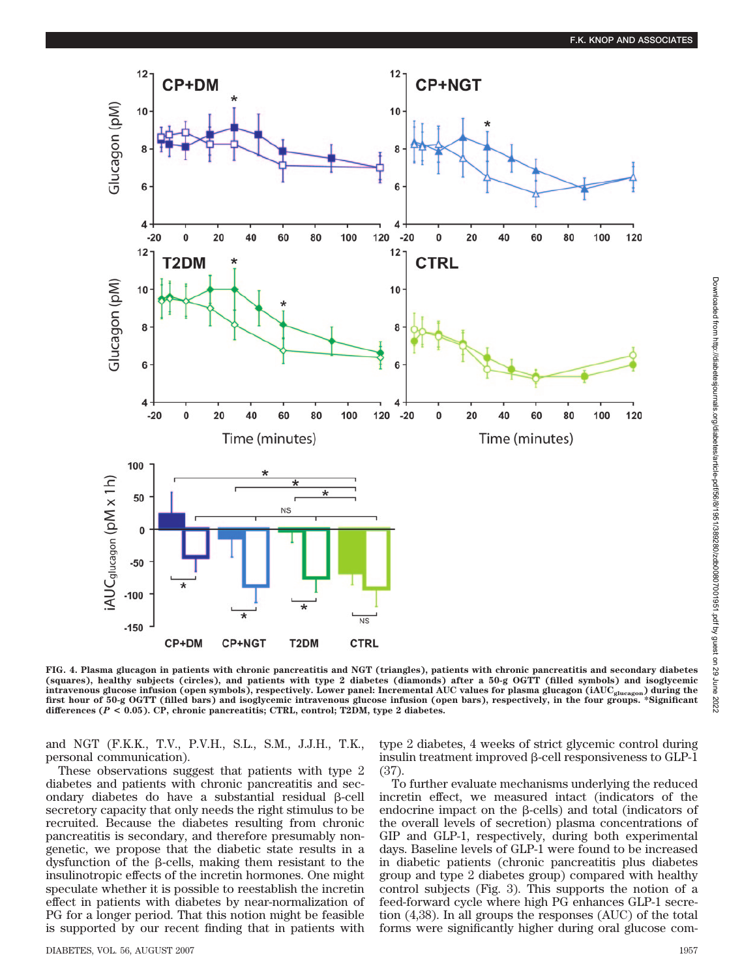

**FIG. 4. Plasma glucagon in patients with chronic pancreatitis and NGT (triangles), patients with chronic pancreatitis and secondary diabetes (squares), healthy subjects (circles), and patients with type 2 diabetes (diamonds) after a 50-g OGTT (filled symbols) and isoglycemic intravenous glucose infusion (open symbols), respectively. Lower panel: Incremental AUC values for plasma glucagon (iAUCglucagon) during the first hour of 50-g OGTT (filled bars) and isoglycemic intravenous glucose infusion (open bars), respectively, in the four groups. \*Significant differences (***P* **< 0.05). CP, chronic pancreatitis; CTRL, control; T2DM, type 2 diabetes.**

and NGT (F.K.K., T.V., P.V.H., S.L., S.M., J.J.H., T.K., personal communication).

These observations suggest that patients with type 2 diabetes and patients with chronic pancreatitis and secondary diabetes do have a substantial residual  $\beta$ -cell secretory capacity that only needs the right stimulus to be recruited. Because the diabetes resulting from chronic pancreatitis is secondary, and therefore presumably nongenetic, we propose that the diabetic state results in a dysfunction of the  $\beta$ -cells, making them resistant to the insulinotropic effects of the incretin hormones. One might speculate whether it is possible to reestablish the incretin effect in patients with diabetes by near-normalization of PG for a longer period. That this notion might be feasible is supported by our recent finding that in patients with

DIABETES, VOL. 56, AUGUST 2007 1957

type 2 diabetes, 4 weeks of strict glycemic control during insulin treatment improved  $\beta$ -cell responsiveness to GLP-1 (37).

To further evaluate mechanisms underlying the reduced incretin effect, we measured intact (indicators of the endocrine impact on the  $\beta$ -cells) and total (indicators of the overall levels of secretion) plasma concentrations of GIP and GLP-1, respectively, during both experimental days. Baseline levels of GLP-1 were found to be increased in diabetic patients (chronic pancreatitis plus diabetes group and type 2 diabetes group) compared with healthy control subjects (Fig. 3). This supports the notion of a feed-forward cycle where high PG enhances GLP-1 secretion (4,38). In all groups the responses (AUC) of the total forms were significantly higher during oral glucose com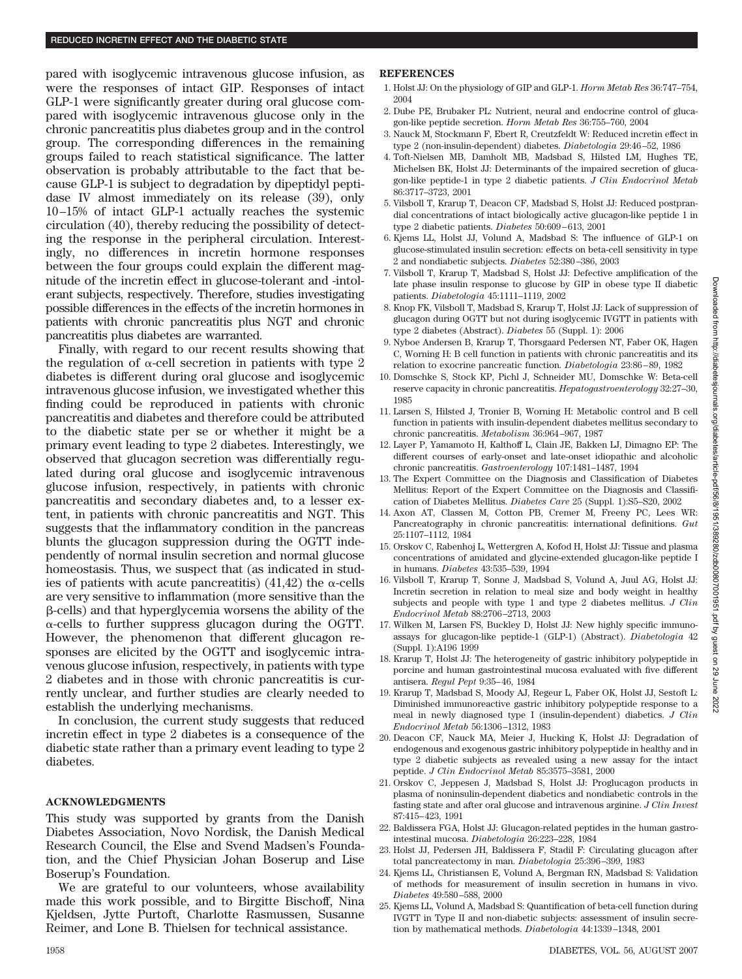pared with isoglycemic intravenous glucose infusion, as were the responses of intact GIP. Responses of intact GLP-1 were significantly greater during oral glucose compared with isoglycemic intravenous glucose only in the chronic pancreatitis plus diabetes group and in the control group. The corresponding differences in the remaining groups failed to reach statistical significance. The latter observation is probably attributable to the fact that because GLP-1 is subject to degradation by dipeptidyl peptidase IV almost immediately on its release (39), only 10 –15% of intact GLP-1 actually reaches the systemic circulation (40), thereby reducing the possibility of detecting the response in the peripheral circulation. Interestingly, no differences in incretin hormone responses between the four groups could explain the different magnitude of the incretin effect in glucose-tolerant and -intolerant subjects, respectively. Therefore, studies investigating possible differences in the effects of the incretin hormones in patients with chronic pancreatitis plus NGT and chronic pancreatitis plus diabetes are warranted.

Finally, with regard to our recent results showing that the regulation of  $\alpha$ -cell secretion in patients with type 2 diabetes is different during oral glucose and isoglycemic intravenous glucose infusion, we investigated whether this finding could be reproduced in patients with chronic pancreatitis and diabetes and therefore could be attributed to the diabetic state per se or whether it might be a primary event leading to type 2 diabetes. Interestingly, we observed that glucagon secretion was differentially regulated during oral glucose and isoglycemic intravenous glucose infusion, respectively, in patients with chronic pancreatitis and secondary diabetes and, to a lesser extent, in patients with chronic pancreatitis and NGT. This suggests that the inflammatory condition in the pancreas blunts the glucagon suppression during the OGTT independently of normal insulin secretion and normal glucose homeostasis. Thus, we suspect that (as indicated in studies of patients with acute pancreatitis)  $(41,42)$  the  $\alpha$ -cells are very sensitive to inflammation (more sensitive than the -cells) and that hyperglycemia worsens the ability of the  $\alpha$ -cells to further suppress glucagon during the OGTT. However, the phenomenon that different glucagon responses are elicited by the OGTT and isoglycemic intravenous glucose infusion, respectively, in patients with type 2 diabetes and in those with chronic pancreatitis is currently unclear, and further studies are clearly needed to establish the underlying mechanisms.

In conclusion, the current study suggests that reduced incretin effect in type 2 diabetes is a consequence of the diabetic state rather than a primary event leading to type 2 diabetes.

## **ACKNOWLEDGMENTS**

This study was supported by grants from the Danish Diabetes Association, Novo Nordisk, the Danish Medical Research Council, the Else and Svend Madsen's Foundation, and the Chief Physician Johan Boserup and Lise Boserup's Foundation.

We are grateful to our volunteers, whose availability made this work possible, and to Birgitte Bischoff, Nina Kjeldsen, Jytte Purtoft, Charlotte Rasmussen, Susanne Reimer, and Lone B. Thielsen for technical assistance.

## **REFERENCES**

- 1. Holst JJ: On the physiology of GIP and GLP-1. *Horm Metab Res* 36:747–754, 2004 2. Dube PE, Brubaker PL: Nutrient, neural and endocrine control of gluca-
- gon-like peptide secretion. *Horm Metab Res* 36:755–760, 2004
- 3. Nauck M, Stockmann F, Ebert R, Creutzfeldt W: Reduced incretin effect in type 2 (non-insulin-dependent) diabetes. *Diabetologia* 29:46 –52, 1986
- 4. Toft-Nielsen MB, Damholt MB, Madsbad S, Hilsted LM, Hughes TE, Michelsen BK, Holst JJ: Determinants of the impaired secretion of glucagon-like peptide-1 in type 2 diabetic patients. *J Clin Endocrinol Metab* 86:3717–3723, 2001
- 5. Vilsboll T, Krarup T, Deacon CF, Madsbad S, Holst JJ: Reduced postprandial concentrations of intact biologically active glucagon-like peptide 1 in type 2 diabetic patients. *Diabetes* 50:609 – 613, 2001
- 6. Kjems LL, Holst JJ, Volund A, Madsbad S: The influence of GLP-1 on glucose-stimulated insulin secretion: effects on beta-cell sensitivity in type 2 and nondiabetic subjects. *Diabetes* 52:380 –386, 2003
- 7. Vilsboll T, Krarup T, Madsbad S, Holst JJ: Defective amplification of the late phase insulin response to glucose by GIP in obese type II diabetic patients. *Diabetologia* 45:1111–1119, 2002
- 8. Knop FK, Vilsboll T, Madsbad S, Krarup T, Holst JJ: Lack of suppression of glucagon during OGTT but not during isoglycemic IVGTT in patients with type 2 diabetes (Abstract). *Diabetes* 55 (Suppl. 1): 2006
- 9. Nyboe Andersen B, Krarup T, Thorsgaard Pedersen NT, Faber OK, Hagen C, Worning H: B cell function in patients with chronic pancreatitis and its relation to exocrine pancreatic function. *Diabetologia* 23:86 – 89, 1982
- 10. Domschke S, Stock KP, Pichl J, Schneider MU, Domschke W: Beta-cell reserve capacity in chronic pancreatitis. *Hepatogastroenterology* 32:27–30, 1985
- 11. Larsen S, Hilsted J, Tronier B, Worning H: Metabolic control and B cell function in patients with insulin-dependent diabetes mellitus secondary to chronic pancreatitis. *Metabolism* 36:964 –967, 1987
- 12. Layer P, Yamamoto H, Kalthoff L, Clain JE, Bakken LJ, Dimagno EP: The different courses of early-onset and late-onset idiopathic and alcoholic chronic pancreatitis. *Gastroenterology* 107:1481–1487, 1994
- 13. The Expert Committee on the Diagnosis and Classification of Diabetes Mellitus: Report of the Expert Committee on the Diagnosis and Classification of Diabetes Mellitus. *Diabetes Care* 25 (Suppl. 1):S5–S20, 2002
- 14. Axon AT, Classen M, Cotton PB, Cremer M, Freeny PC, Lees WR: Pancreatography in chronic pancreatitis: international definitions. *Gut* 25:1107–1112, 1984
- 15. Orskov C, Rabenhoj L, Wettergren A, Kofod H, Holst JJ: Tissue and plasma concentrations of amidated and glycine-extended glucagon-like peptide I in humans. *Diabetes* 43:535–539, 1994
- 16. Vilsboll T, Krarup T, Sonne J, Madsbad S, Volund A, Juul AG, Holst JJ: Incretin secretion in relation to meal size and body weight in healthy subjects and people with type 1 and type 2 diabetes mellitus. *J Clin Endocrinol Metab* 88:2706 –2713, 2003
- 17. Wilken M, Larsen FS, Buckley D, Holst JJ: New highly specific immunoassays for glucagon-like peptide-1 (GLP-1) (Abstract). *Diabetologia* 42 (Suppl. 1):A196 1999
- 18. Krarup T, Holst JJ: The heterogeneity of gastric inhibitory polypeptide in porcine and human gastrointestinal mucosa evaluated with five different antisera. *Regul Pept* 9:35– 46, 1984
- 19. Krarup T, Madsbad S, Moody AJ, Regeur L, Faber OK, Holst JJ, Sestoft L: Diminished immunoreactive gastric inhibitory polypeptide response to a meal in newly diagnosed type I (insulin-dependent) diabetics. *J Clin Endocrinol Metab* 56:1306 –1312, 1983
- 20. Deacon CF, Nauck MA, Meier J, Hucking K, Holst JJ: Degradation of endogenous and exogenous gastric inhibitory polypeptide in healthy and in type 2 diabetic subjects as revealed using a new assay for the intact peptide. *J Clin Endocrinol Metab* 85:3575–3581, 2000
- 21. Orskov C, Jeppesen J, Madsbad S, Holst JJ: Proglucagon products in plasma of noninsulin-dependent diabetics and nondiabetic controls in the fasting state and after oral glucose and intravenous arginine. *J Clin Invest* 87:415– 423, 1991
- 22. Baldissera FGA, Holst JJ: Glucagon-related peptides in the human gastrointestinal mucosa. *Diabetologia* 26:223–228, 1984
- 23. Holst JJ, Pedersen JH, Baldissera F, Stadil F: Circulating glucagon after total pancreatectomy in man. *Diabetologia* 25:396 –399, 1983
- 24. Kjems LL, Christiansen E, Volund A, Bergman RN, Madsbad S: Validation of methods for measurement of insulin secretion in humans in vivo. *Diabetes* 49:580 –588, 2000
- 25. Kjems LL, Volund A, Madsbad S: Quantification of beta-cell function during IVGTT in Type II and non-diabetic subjects: assessment of insulin secretion by mathematical methods. *Diabetologia* 44:1339 –1348, 2001